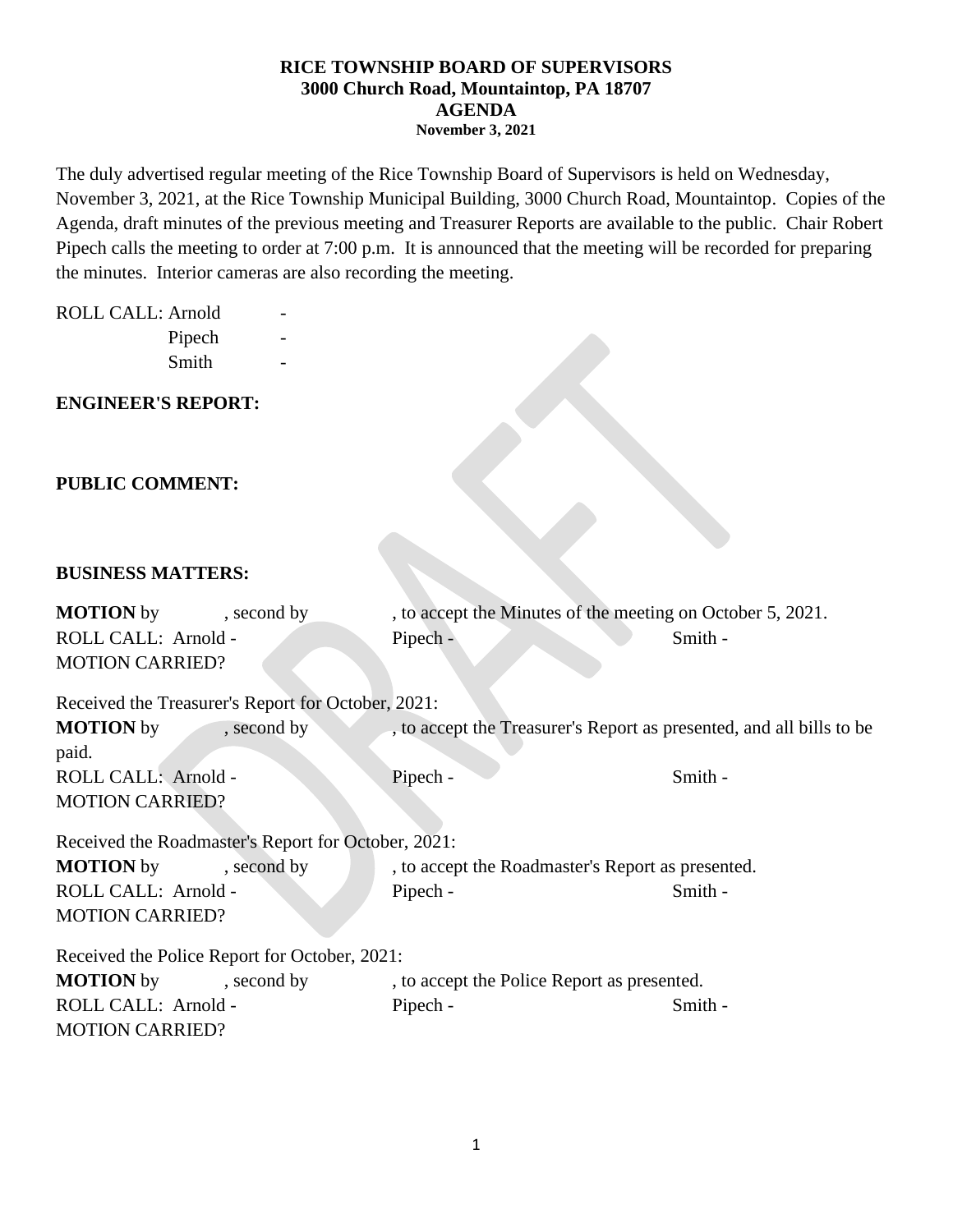The duly advertised regular meeting of the Rice Township Board of Supervisors is held on Wednesday, November 3, 2021, at the Rice Township Municipal Building, 3000 Church Road, Mountaintop. Copies of the Agenda, draft minutes of the previous meeting and Treasurer Reports are available to the public. Chair Robert Pipech calls the meeting to order at 7:00 p.m. It is announced that the meeting will be recorded for preparing the minutes. Interior cameras are also recording the meeting.

#### ROLL CALL: Arnold

Pipech Smith

### **ENGINEER'S REPORT:**

### **PUBLIC COMMENT:**

#### **BUSINESS MATTERS:**

| <b>MOTION</b> by                                    | , second by | , to accept the Minutes of the meeting on October 5, 2021.           |         |  |  |  |  |
|-----------------------------------------------------|-------------|----------------------------------------------------------------------|---------|--|--|--|--|
| ROLL CALL: Arnold -                                 |             | Pipech -                                                             | Smith - |  |  |  |  |
| <b>MOTION CARRIED?</b>                              |             |                                                                      |         |  |  |  |  |
| Received the Treasurer's Report for October, 2021:  |             |                                                                      |         |  |  |  |  |
| <b>MOTION</b> by<br>paid.                           | , second by | , to accept the Treasurer's Report as presented, and all bills to be |         |  |  |  |  |
| ROLL CALL: Arnold -                                 |             | Pipech -                                                             | Smith - |  |  |  |  |
| <b>MOTION CARRIED?</b>                              |             |                                                                      |         |  |  |  |  |
| Received the Roadmaster's Report for October, 2021: |             |                                                                      |         |  |  |  |  |
| <b>MOTION</b> by                                    | , second by | , to accept the Roadmaster's Report as presented.                    |         |  |  |  |  |
| ROLL CALL: Arnold -                                 |             | Pipech -                                                             | Smith - |  |  |  |  |
| <b>MOTION CARRIED?</b>                              |             |                                                                      |         |  |  |  |  |
| Received the Police Report for October, 2021:       |             |                                                                      |         |  |  |  |  |
| <b>MOTION</b> by                                    | , second by | , to accept the Police Report as presented.                          |         |  |  |  |  |
| ROLL CALL: Arnold -                                 |             | Pipech -                                                             | Smith - |  |  |  |  |
| <b>MOTION CARRIED?</b>                              |             |                                                                      |         |  |  |  |  |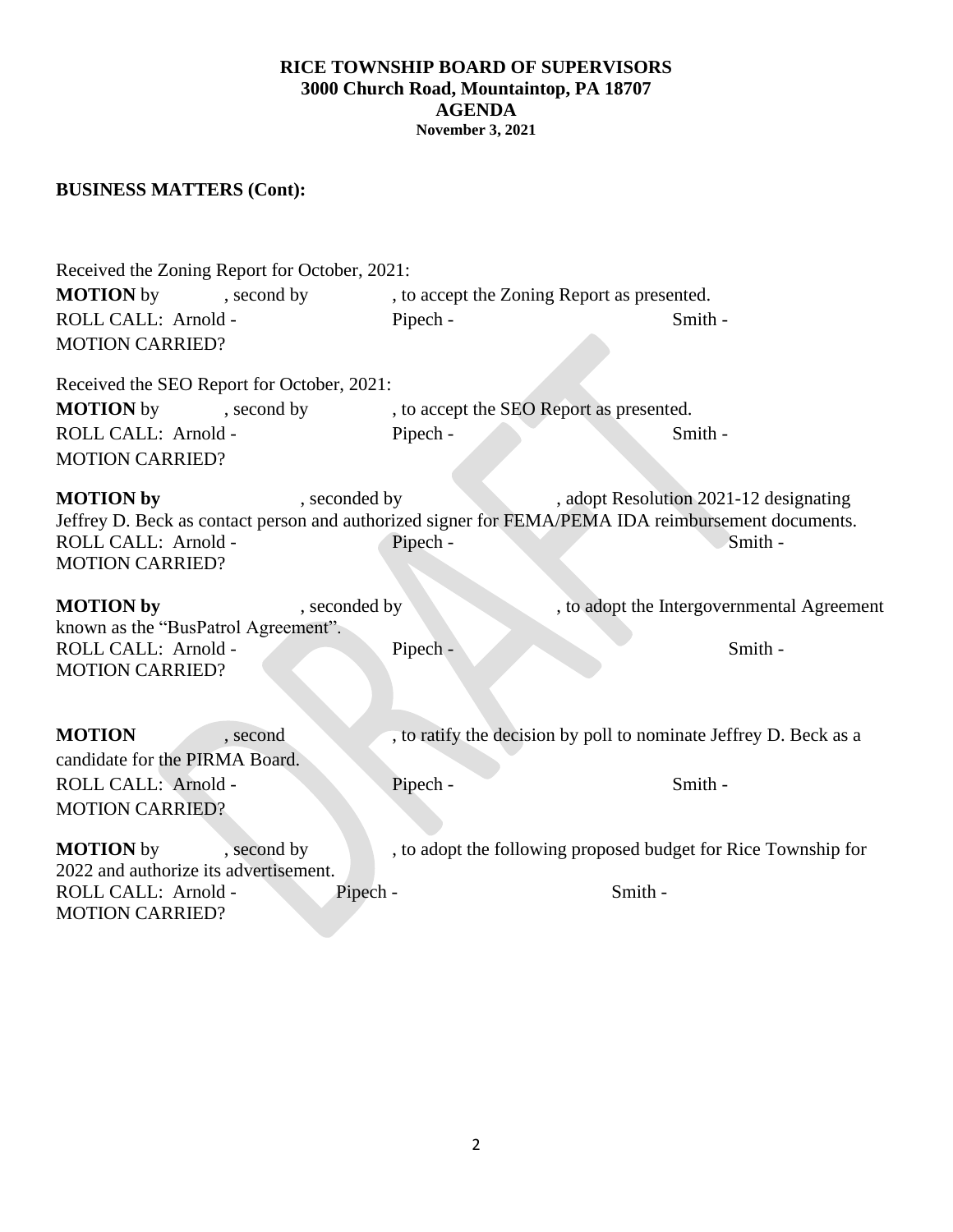## **BUSINESS MATTERS (Cont):**

| Received the Zoning Report for October, 2021:<br><b>MOTION</b> by<br>, second by<br>ROLL CALL: Arnold -<br><b>MOTION CARRIED?</b> | Pipech -                  | , to accept the Zoning Report as presented.<br>Smith -                                                                                                  |  |  |  |  |  |
|-----------------------------------------------------------------------------------------------------------------------------------|---------------------------|---------------------------------------------------------------------------------------------------------------------------------------------------------|--|--|--|--|--|
| Received the SEO Report for October, 2021:                                                                                        |                           |                                                                                                                                                         |  |  |  |  |  |
| <b>MOTION</b> by<br>, second by                                                                                                   |                           | , to accept the SEO Report as presented.                                                                                                                |  |  |  |  |  |
| ROLL CALL: Arnold -                                                                                                               | Pipech -                  | Smith -                                                                                                                                                 |  |  |  |  |  |
| <b>MOTION CARRIED?</b>                                                                                                            |                           |                                                                                                                                                         |  |  |  |  |  |
| <b>MOTION</b> by<br>ROLL CALL: Arnold -<br><b>MOTION CARRIED?</b>                                                                 | , seconded by<br>Pipech - | , adopt Resolution 2021-12 designating<br>Jeffrey D. Beck as contact person and authorized signer for FEMA/PEMA IDA reimbursement documents.<br>Smith - |  |  |  |  |  |
| <b>MOTION</b> by                                                                                                                  | , seconded by             | , to adopt the Intergovernmental Agreement                                                                                                              |  |  |  |  |  |
| known as the "BusPatrol Agreement".                                                                                               |                           |                                                                                                                                                         |  |  |  |  |  |
| ROLL CALL: Arnold -<br><b>MOTION CARRIED?</b>                                                                                     | Pipech -                  | Smith -                                                                                                                                                 |  |  |  |  |  |
| <b>MOTION</b><br>, second                                                                                                         |                           | , to ratify the decision by poll to nominate Jeffrey D. Beck as a                                                                                       |  |  |  |  |  |
| candidate for the PIRMA Board.                                                                                                    |                           |                                                                                                                                                         |  |  |  |  |  |
| ROLL CALL: Arnold -                                                                                                               | Pipech -                  | Smith -                                                                                                                                                 |  |  |  |  |  |
| <b>MOTION CARRIED?</b>                                                                                                            |                           |                                                                                                                                                         |  |  |  |  |  |
|                                                                                                                                   |                           |                                                                                                                                                         |  |  |  |  |  |
| <b>MOTION</b> by<br>, second by                                                                                                   |                           | , to adopt the following proposed budget for Rice Township for                                                                                          |  |  |  |  |  |
| 2022 and authorize its advertisement.<br>ROLL CALL: Arnold -                                                                      | Pipech -                  | Smith -                                                                                                                                                 |  |  |  |  |  |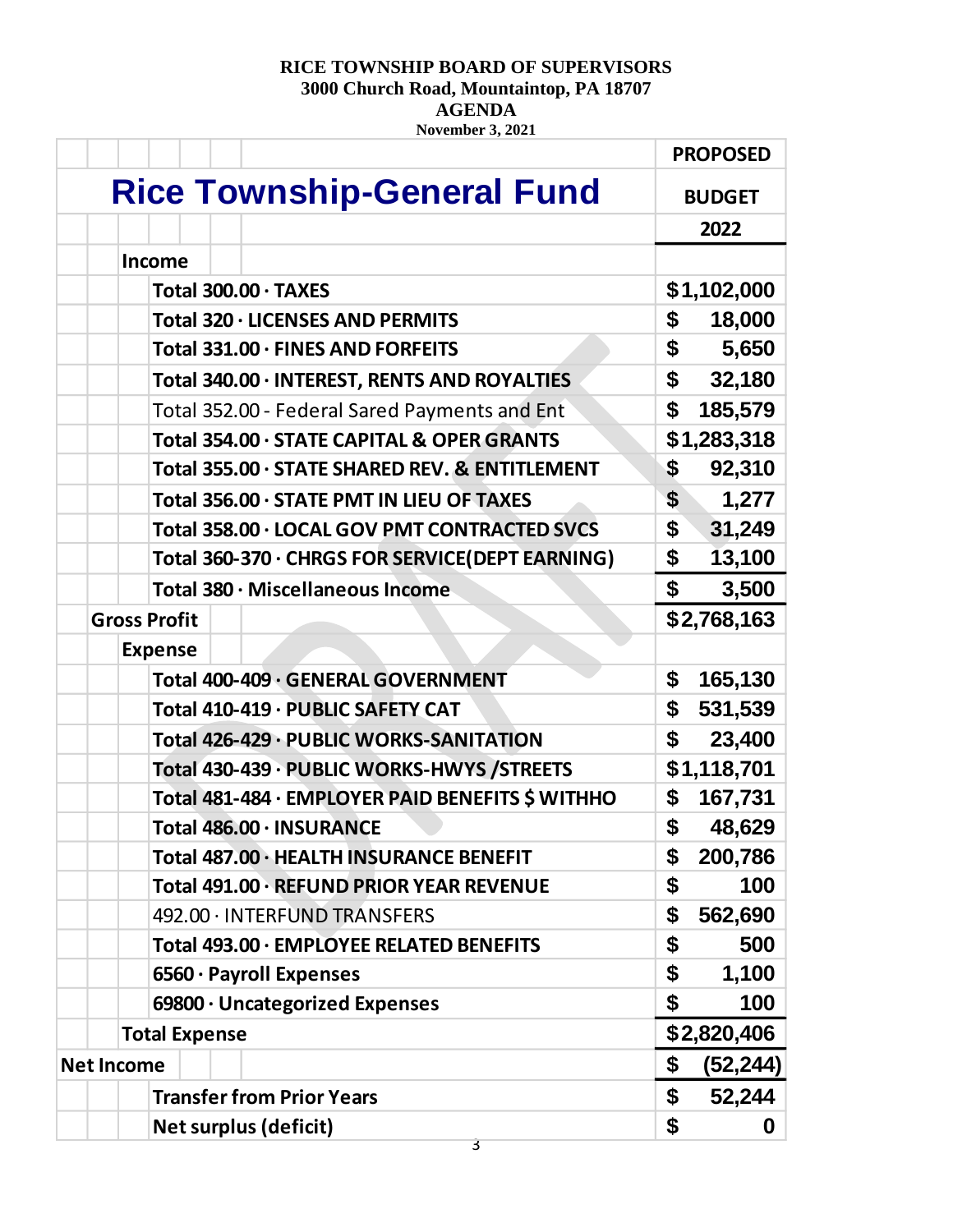# **RICE TOWNSHIP BOARD OF SUPERVISORS**

**3000 Church Road, Mountaintop, PA 18707**

**AGENDA**

**November 3, 2021**

|                                                  | <b>PROPOSED</b> |
|--------------------------------------------------|-----------------|
| <b>Rice Township-General Fund</b>                | <b>BUDGET</b>   |
|                                                  | 2022            |
| <b>Income</b>                                    |                 |
| Total 300.00 · TAXES                             | \$1,102,000     |
| Total 320 · LICENSES AND PERMITS                 | \$<br>18,000    |
| Total 331.00 · FINES AND FORFEITS                | \$<br>5,650     |
| Total 340.00 · INTEREST, RENTS AND ROYALTIES     | \$<br>32,180    |
| Total 352.00 - Federal Sared Payments and Ent    | \$<br>185,579   |
| Total 354.00 · STATE CAPITAL & OPER GRANTS       | \$1,283,318     |
| Total 355.00 · STATE SHARED REV. & ENTITLEMENT   | \$<br>92,310    |
| Total 356.00 · STATE PMT IN LIEU OF TAXES        | \$<br>1,277     |
| Total 358.00 · LOCAL GOV PMT CONTRACTED SVCS     | \$<br>31,249    |
| Total 360-370 · CHRGS FOR SERVICE(DEPT EARNING)  | \$<br>13,100    |
| Total 380 · Miscellaneous Income                 | \$<br>3,500     |
| <b>Gross Profit</b>                              | \$2,768,163     |
| <b>Expense</b>                                   |                 |
| Total 400-409 · GENERAL GOVERNMENT               | \$<br>165,130   |
| Total 410-419 · PUBLIC SAFETY CAT                | \$<br>531,539   |
| Total 426-429 · PUBLIC WORKS-SANITATION          | \$<br>23,400    |
| Total 430-439 · PUBLIC WORKS-HWYS / STREETS      | \$1,118,701     |
| Total 481-484 · EMPLOYER PAID BENEFITS \$ WITHHO | \$<br>167,731   |
| Total 486.00 · INSURANCE                         | \$<br>48,629    |
| Total 487.00 · HEALTH INSURANCE BENEFIT          | \$<br>200,786   |
| Total 491.00 · REFUND PRIOR YEAR REVENUE         | \$<br>100       |
| 492.00 · INTERFUND TRANSFERS                     | \$<br>562,690   |
| Total 493.00 · EMPLOYEE RELATED BENEFITS         | \$<br>500       |
| 6560 · Payroll Expenses                          | \$<br>1,100     |
| 69800 · Uncategorized Expenses                   | \$<br>100       |
| <b>Total Expense</b>                             | \$2,820,406     |
| <b>Net Income</b>                                | \$<br>(52, 244) |
| <b>Transfer from Prior Years</b>                 | \$<br>52,244    |
| <b>Net surplus (deficit)</b>                     | \$<br>0         |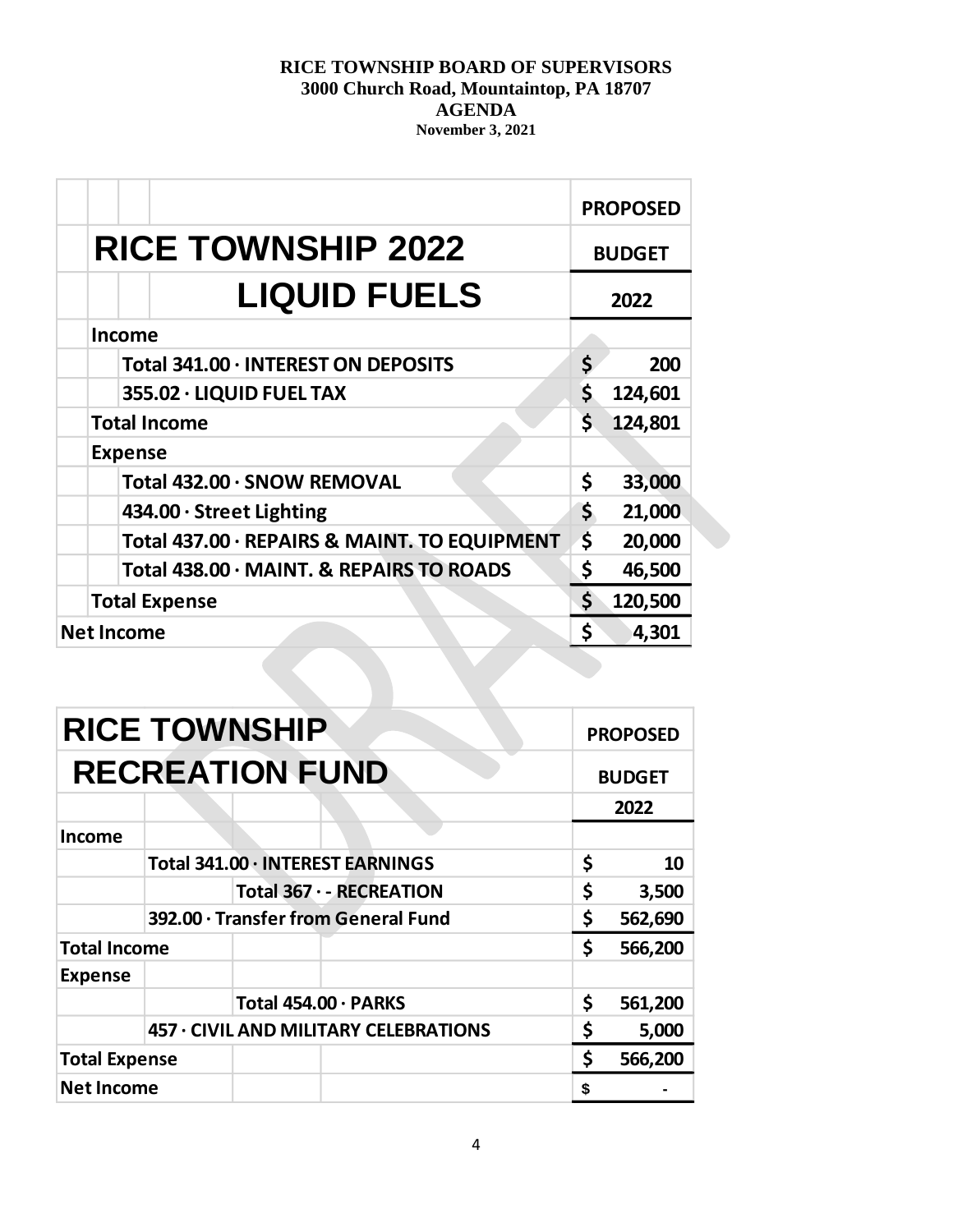|                                              |     | <b>PROPOSED</b> |  |
|----------------------------------------------|-----|-----------------|--|
| <b>RICE TOWNSHIP 2022</b>                    |     | <b>BUDGET</b>   |  |
| <b>LIQUID FUELS</b>                          |     | 2022            |  |
| <b>Income</b>                                |     |                 |  |
| Total 341.00 · INTEREST ON DEPOSITS          | \$  | 200             |  |
| 355.02 · LIQUID FUEL TAX                     | \$. | 124,601         |  |
| <b>Total Income</b>                          | \$. | 124,801         |  |
| <b>Expense</b>                               |     |                 |  |
| Total 432.00 · SNOW REMOVAL                  | \$  | 33,000          |  |
| 434.00 · Street Lighting                     | \$  | 21,000          |  |
| Total 437.00 · REPAIRS & MAINT. TO EQUIPMENT | \$  | 20,000          |  |
| Total 438.00 · MAINT. & REPAIRS TO ROADS     | \$  | 46,500          |  |
| <b>Total Expense</b>                         |     | 120,500         |  |
| <b>Net Income</b>                            |     | 4,301           |  |

| <b>RICE TOWNSHIP</b><br><b>RECREATION FUND</b> |                                       |    | <b>PROPOSED</b><br><b>BUDGET</b> |  |
|------------------------------------------------|---------------------------------------|----|----------------------------------|--|
|                                                |                                       |    |                                  |  |
| <b>Income</b>                                  |                                       |    |                                  |  |
|                                                | Total 341.00 · INTEREST EARNINGS      | \$ | 10                               |  |
|                                                | Total 367 · - RECREATION              | \$ | 3,500                            |  |
|                                                | 392.00 · Transfer from General Fund   |    | \$<br>562,690                    |  |
| <b>Total Income</b>                            |                                       | \$ | 566,200                          |  |
| <b>Expense</b>                                 |                                       |    |                                  |  |
|                                                | Total 454.00 · PARKS                  | \$ | 561,200                          |  |
|                                                | 457 · CIVIL AND MILITARY CELEBRATIONS |    | 5,000                            |  |
| <b>Total Expense</b>                           |                                       | \$ | 566,200                          |  |
| <b>Net Income</b>                              |                                       | \$ |                                  |  |